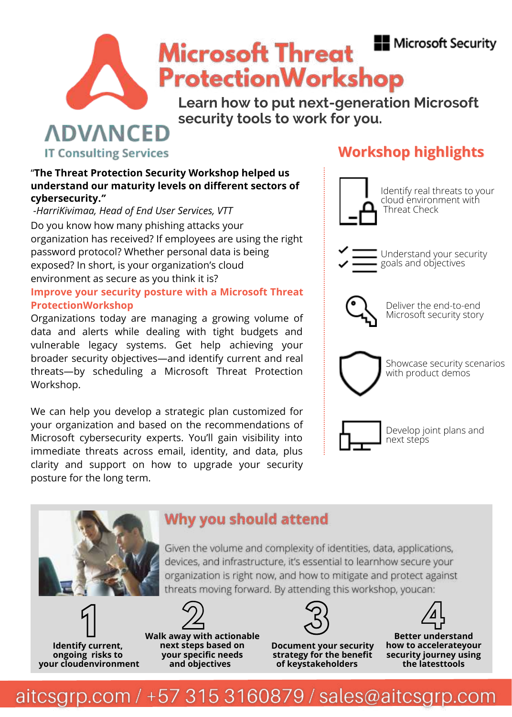## **N**icrosoft Security



# **Microsoft Threat ProtectionWorkshop**

**Learn how to put next-generation Microsoft security tools to work for you.**

#### **ADVANCED IT Consulting Services**

# **Workshop highlights**

# Identify real threats to your cloud environment with Threat Check Understand your security goals and objectives Deliver the end-to-end Microsoft security story Showcase security scenarios with product demos Develop joint plans and next steps

#### "**The Threat Protection Security Workshop helped us understand our maturity levels on different sectors of cybersecurity.***"*

*-HarriKivimaa, Head of End User Services, VTT*  Do you know how many phishing attacks your organization has received? If employees are using the right password protocol? Whether personal data is being exposed? In short, is your organization's cloud environment as secure as you think it is? **Improve your security posture with a Microsoft Threat ProtectionWorkshop**

Organizations today are managing a growing volume of data and alerts while dealing with tight budgets and vulnerable legacy systems. Get help achieving your broader security objectives—and identify current and real threats—by scheduling a Microsoft Threat Protection Workshop.

We can help you develop a strategic plan customized for your organization and based on the recommendations of Microsoft cybersecurity experts. You'll gain visibility into immediate threats across email, identity, and data, plus clarity and support on how to upgrade your security posture for the long term.